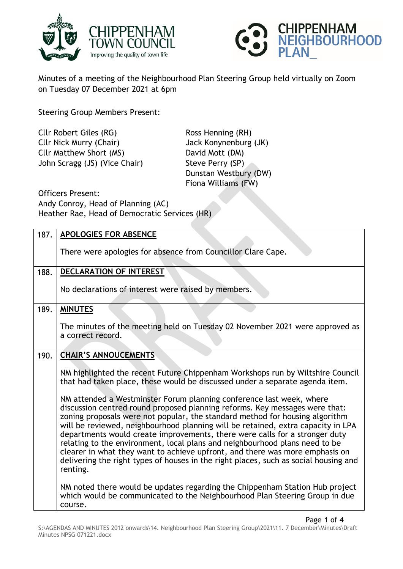



Minutes of a meeting of the Neighbourhood Plan Steering Group held virtually on Zoom on Tuesday 07 December 2021 at 6pm

Steering Group Members Present:

Cllr Robert Giles (RG) Ross Henning (RH) Cllr Nick Murry (Chair) Jack Konynenburg (JK) Cllr Matthew Short (MS) David Mott (DM) John Scragg (JS) (Vice Chair) Steve Perry (SP)

Dunstan Westbury (DW) Fiona Williams (FW)

Officers Present: Andy Conroy, Head of Planning (AC) Heather Rae, Head of Democratic Services (HR)

| 187. | APOLOGIES FOR ABSENCE                                                                                                                                                                                                                                                                                                                                                                                                                                                                                                                                                                                                                                                     |
|------|---------------------------------------------------------------------------------------------------------------------------------------------------------------------------------------------------------------------------------------------------------------------------------------------------------------------------------------------------------------------------------------------------------------------------------------------------------------------------------------------------------------------------------------------------------------------------------------------------------------------------------------------------------------------------|
|      | There were apologies for absence from Councillor Clare Cape.                                                                                                                                                                                                                                                                                                                                                                                                                                                                                                                                                                                                              |
| 188. | <b>DECLARATION OF INTEREST</b>                                                                                                                                                                                                                                                                                                                                                                                                                                                                                                                                                                                                                                            |
|      | No declarations of interest were raised by members.                                                                                                                                                                                                                                                                                                                                                                                                                                                                                                                                                                                                                       |
| 189. | <b>MINUTES</b>                                                                                                                                                                                                                                                                                                                                                                                                                                                                                                                                                                                                                                                            |
|      | The minutes of the meeting held on Tuesday 02 November 2021 were approved as<br>a correct record.                                                                                                                                                                                                                                                                                                                                                                                                                                                                                                                                                                         |
| 190. | <b>CHAIR'S ANNOUCEMENTS</b>                                                                                                                                                                                                                                                                                                                                                                                                                                                                                                                                                                                                                                               |
|      | NM highlighted the recent Future Chippenham Workshops run by Wiltshire Council<br>that had taken place, these would be discussed under a separate agenda item.                                                                                                                                                                                                                                                                                                                                                                                                                                                                                                            |
|      | NM attended a Westminster Forum planning conference last week, where<br>discussion centred round proposed planning reforms. Key messages were that:<br>zoning proposals were not popular, the standard method for housing algorithm<br>will be reviewed, neighbourhood planning will be retained, extra capacity in LPA<br>departments would create improvements, there were calls for a stronger duty<br>relating to the environment, local plans and neighbourhood plans need to be<br>clearer in what they want to achieve upfront, and there was more emphasis on<br>delivering the right types of houses in the right places, such as social housing and<br>renting. |
|      | NM noted there would be updates regarding the Chippenham Station Hub project<br>which would be communicated to the Neighbourhood Plan Steering Group in due<br>course.                                                                                                                                                                                                                                                                                                                                                                                                                                                                                                    |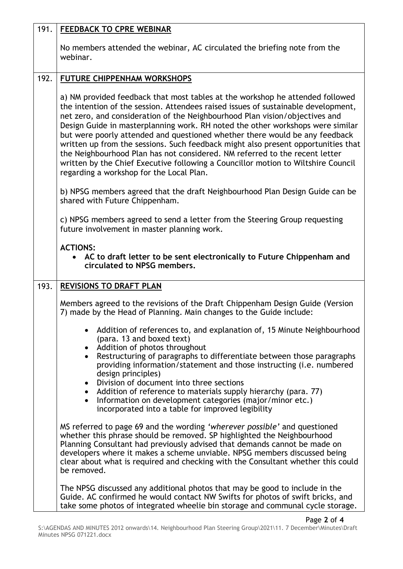| 191. | <b>FEEDBACK TO CPRE WEBINAR</b>                                                                                                                                                                                                                                                                                                                                                                                                                                                                                                                                                                                                                                                                                         |
|------|-------------------------------------------------------------------------------------------------------------------------------------------------------------------------------------------------------------------------------------------------------------------------------------------------------------------------------------------------------------------------------------------------------------------------------------------------------------------------------------------------------------------------------------------------------------------------------------------------------------------------------------------------------------------------------------------------------------------------|
|      | No members attended the webinar, AC circulated the briefing note from the<br>webinar.                                                                                                                                                                                                                                                                                                                                                                                                                                                                                                                                                                                                                                   |
| 192. | <b>FUTURE CHIPPENHAM WORKSHOPS</b>                                                                                                                                                                                                                                                                                                                                                                                                                                                                                                                                                                                                                                                                                      |
|      | a) NM provided feedback that most tables at the workshop he attended followed<br>the intention of the session. Attendees raised issues of sustainable development,<br>net zero, and consideration of the Neighbourhood Plan vision/objectives and<br>Design Guide in masterplanning work. RH noted the other workshops were similar<br>but were poorly attended and questioned whether there would be any feedback<br>written up from the sessions. Such feedback might also present opportunities that<br>the Neighbourhood Plan has not considered. NM referred to the recent letter<br>written by the Chief Executive following a Councillor motion to Wiltshire Council<br>regarding a workshop for the Local Plan. |
|      | b) NPSG members agreed that the draft Neighbourhood Plan Design Guide can be<br>shared with Future Chippenham.                                                                                                                                                                                                                                                                                                                                                                                                                                                                                                                                                                                                          |
|      | c) NPSG members agreed to send a letter from the Steering Group requesting<br>future involvement in master planning work.                                                                                                                                                                                                                                                                                                                                                                                                                                                                                                                                                                                               |
|      | <b>ACTIONS:</b><br>• AC to draft letter to be sent electronically to Future Chippenham and<br>circulated to NPSG members.                                                                                                                                                                                                                                                                                                                                                                                                                                                                                                                                                                                               |
| 193. | <b>REVISIONS TO DRAFT PLAN</b>                                                                                                                                                                                                                                                                                                                                                                                                                                                                                                                                                                                                                                                                                          |
|      | Members agreed to the revisions of the Draft Chippenham Design Guide (Version<br>7) made by the Head of Planning. Main changes to the Guide include:                                                                                                                                                                                                                                                                                                                                                                                                                                                                                                                                                                    |
|      | Addition of references to, and explanation of, 15 Minute Neighbourhood<br>(para. 13 and boxed text)<br>Addition of photos throughout                                                                                                                                                                                                                                                                                                                                                                                                                                                                                                                                                                                    |
|      | Restructuring of paragraphs to differentiate between those paragraphs<br>$\bullet$<br>providing information/statement and those instructing (i.e. numbered<br>design principles)                                                                                                                                                                                                                                                                                                                                                                                                                                                                                                                                        |
|      | Division of document into three sections<br>$\bullet$<br>Addition of reference to materials supply hierarchy (para. 77)<br>$\bullet$<br>Information on development categories (major/minor etc.)<br>incorporated into a table for improved legibility                                                                                                                                                                                                                                                                                                                                                                                                                                                                   |
|      | MS referred to page 69 and the wording 'wherever possible' and questioned<br>whether this phrase should be removed. SP highlighted the Neighbourhood<br>Planning Consultant had previously advised that demands cannot be made on<br>developers where it makes a scheme unviable. NPSG members discussed being<br>clear about what is required and checking with the Consultant whether this could<br>be removed.                                                                                                                                                                                                                                                                                                       |
|      | The NPSG discussed any additional photos that may be good to include in the<br>Guide. AC confirmed he would contact NW Swifts for photos of swift bricks, and<br>take some photos of integrated wheelie bin storage and communal cycle storage.                                                                                                                                                                                                                                                                                                                                                                                                                                                                         |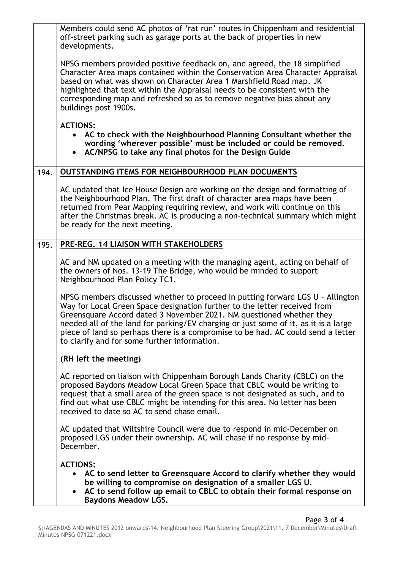|      | Members could send AC photos of 'rat run' routes in Chippenham and residential<br>off-street parking such as garage ports at the back of properties in new<br>developments.                                                                                                                                                                                                                                                                                    |
|------|----------------------------------------------------------------------------------------------------------------------------------------------------------------------------------------------------------------------------------------------------------------------------------------------------------------------------------------------------------------------------------------------------------------------------------------------------------------|
|      | NPSG members provided positive feedback on, and agreed, the 18 simplified<br>Character Area maps contained within the Conservation Area Character Appraisal<br>based on what was shown on Character Area 1 Marshfield Road map. JK<br>highlighted that text within the Appraisal needs to be consistent with the<br>corresponding map and refreshed so as to remove negative bias about any<br>buildings post 1900s.                                           |
|      | <b>ACTIONS:</b><br>AC to check with the Neighbourhood Planning Consultant whether the<br>$\bullet$<br>wording 'wherever possible' must be included or could be removed.<br>• AC/NPSG to take any final photos for the Design Guide                                                                                                                                                                                                                             |
| 194. | <b>OUTSTANDING ITEMS FOR NEIGHBOURHOOD PLAN DOCUMENTS</b>                                                                                                                                                                                                                                                                                                                                                                                                      |
|      | AC updated that Ice House Design are working on the design and formatting of<br>the Neighbourhood Plan. The first draft of character area maps have been<br>returned from Pear Mapping requiring review, and work will continue on this<br>after the Christmas break. AC is producing a non-technical summary which might<br>be ready for the next meeting.                                                                                                    |
| 195. | PRE-REG. 14 LIAISON WITH STAKEHOLDERS                                                                                                                                                                                                                                                                                                                                                                                                                          |
|      | AC and NM updated on a meeting with the managing agent, acting on behalf of<br>the owners of Nos. 13-19 The Bridge, who would be minded to support<br>Neighbourhood Plan Policy TC1.                                                                                                                                                                                                                                                                           |
|      | NPSG members discussed whether to proceed in putting forward LGS U - Allington<br>Way for Local Green Space designation further to the letter received from<br>Greensquare Accord dated 3 November 2021. NM questioned whether they<br>needed all of the land for parking/EV charging or just some of it, as it is a large<br>piece of land so perhaps there is a compromise to be had. AC could send a letter<br>to clarify and for some further information. |
|      | (RH left the meeting)                                                                                                                                                                                                                                                                                                                                                                                                                                          |
|      | AC reported on liaison with Chippenham Borough Lands Charity (CBLC) on the<br>proposed Baydons Meadow Local Green Space that CBLC would be writing to<br>request that a small area of the green space is not designated as such, and to<br>find out what use CBLC might be intending for this area. No letter has been<br>received to date so AC to send chase email.                                                                                          |
|      | AC updated that Wiltshire Council were due to respond in mid-December on<br>proposed LGS under their ownership. AC will chase if no response by mid-<br>December.                                                                                                                                                                                                                                                                                              |
|      | <b>ACTIONS:</b>                                                                                                                                                                                                                                                                                                                                                                                                                                                |
|      | AC to send letter to Greensquare Accord to clarify whether they would<br>be willing to compromise on designation of a smaller LGS U.<br>AC to send follow up email to CBLC to obtain their formal response on<br><b>Baydons Meadow LGS.</b>                                                                                                                                                                                                                    |